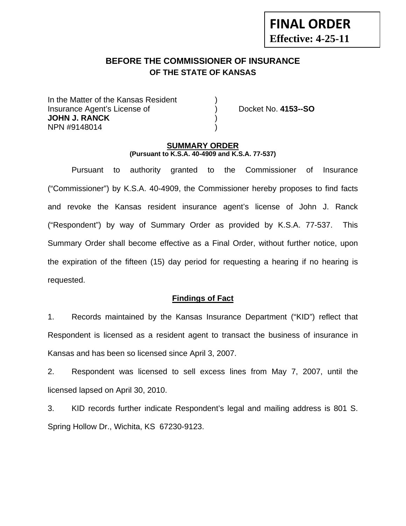# **BEFORE THE COMMISSIONER OF INSURANCE OF THE STATE OF KANSAS**

In the Matter of the Kansas Resident Insurance Agent's License of ) Docket No. **4153--SO JOHN J. RANCK** ) NPN #9148014 )

**FINAL ORDER**

**Effective: 4-25-11** 

#### **SUMMARY ORDER (Pursuant to K.S.A. 40-4909 and K.S.A. 77-537)**

 Pursuant to authority granted to the Commissioner of Insurance ("Commissioner") by K.S.A. 40-4909, the Commissioner hereby proposes to find facts and revoke the Kansas resident insurance agent's license of John J. Ranck ("Respondent") by way of Summary Order as provided by K.S.A. 77-537. This Summary Order shall become effective as a Final Order, without further notice, upon the expiration of the fifteen (15) day period for requesting a hearing if no hearing is requested.

### **Findings of Fact**

1. Records maintained by the Kansas Insurance Department ("KID") reflect that Respondent is licensed as a resident agent to transact the business of insurance in Kansas and has been so licensed since April 3, 2007.

2. Respondent was licensed to sell excess lines from May 7, 2007, until the licensed lapsed on April 30, 2010.

3. KID records further indicate Respondent's legal and mailing address is 801 S. Spring Hollow Dr., Wichita, KS 67230-9123.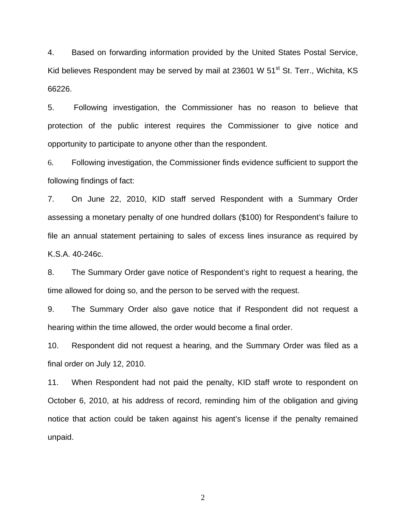4. Based on forwarding information provided by the United States Postal Service, Kid believes Respondent may be served by mail at 23601 W 51<sup>st</sup> St. Terr., Wichita, KS 66226.

5. Following investigation, the Commissioner has no reason to believe that protection of the public interest requires the Commissioner to give notice and opportunity to participate to anyone other than the respondent.

6. Following investigation, the Commissioner finds evidence sufficient to support the following findings of fact:

7. On June 22, 2010, KID staff served Respondent with a Summary Order assessing a monetary penalty of one hundred dollars (\$100) for Respondent's failure to file an annual statement pertaining to sales of excess lines insurance as required by K.S.A. 40-246c.

8. The Summary Order gave notice of Respondent's right to request a hearing, the time allowed for doing so, and the person to be served with the request.

9. The Summary Order also gave notice that if Respondent did not request a hearing within the time allowed, the order would become a final order.

10. Respondent did not request a hearing, and the Summary Order was filed as a final order on July 12, 2010.

11. When Respondent had not paid the penalty, KID staff wrote to respondent on October 6, 2010, at his address of record, reminding him of the obligation and giving notice that action could be taken against his agent's license if the penalty remained unpaid.

2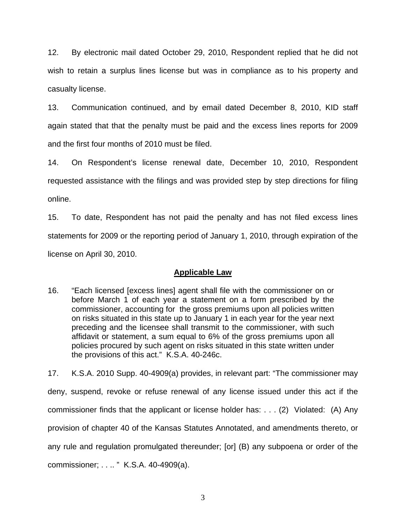12. By electronic mail dated October 29, 2010, Respondent replied that he did not wish to retain a surplus lines license but was in compliance as to his property and casualty license.

13. Communication continued, and by email dated December 8, 2010, KID staff again stated that that the penalty must be paid and the excess lines reports for 2009 and the first four months of 2010 must be filed.

14. On Respondent's license renewal date, December 10, 2010, Respondent requested assistance with the filings and was provided step by step directions for filing online.

15. To date, Respondent has not paid the penalty and has not filed excess lines statements for 2009 or the reporting period of January 1, 2010, through expiration of the license on April 30, 2010.

## **Applicable Law**

16. "Each licensed [excess lines] agent shall file with the commissioner on or before March 1 of each year a statement on a form prescribed by the commissioner, accounting for the gross premiums upon all policies written on risks situated in this state up to January 1 in each year for the year next preceding and the licensee shall transmit to the commissioner, with such affidavit or statement, a sum equal to 6% of the gross premiums upon all policies procured by such agent on risks situated in this state written under the provisions of this act." K.S.A. 40-246c.

17. K.S.A. 2010 Supp. 40-4909(a) provides, in relevant part: "The commissioner may deny, suspend, revoke or refuse renewal of any license issued under this act if the commissioner finds that the applicant or license holder has: . . . (2) Violated: (A) Any provision of chapter 40 of the Kansas Statutes Annotated, and amendments thereto, or any rule and regulation promulgated thereunder; [or] (B) any subpoena or order of the commissioner; . . .. " K.S.A. 40-4909(a).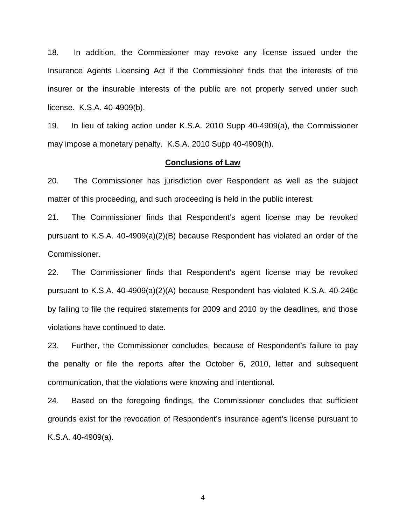18. In addition, the Commissioner may revoke any license issued under the Insurance Agents Licensing Act if the Commissioner finds that the interests of the insurer or the insurable interests of the public are not properly served under such license. K.S.A. 40-4909(b).

19. In lieu of taking action under K.S.A. 2010 Supp 40-4909(a), the Commissioner may impose a monetary penalty. K.S.A. 2010 Supp 40-4909(h).

#### **Conclusions of Law**

20. The Commissioner has jurisdiction over Respondent as well as the subject matter of this proceeding, and such proceeding is held in the public interest.

21. The Commissioner finds that Respondent's agent license may be revoked pursuant to K.S.A. 40-4909(a)(2)(B) because Respondent has violated an order of the Commissioner.

22. The Commissioner finds that Respondent's agent license may be revoked pursuant to K.S.A. 40-4909(a)(2)(A) because Respondent has violated K.S.A. 40-246c by failing to file the required statements for 2009 and 2010 by the deadlines, and those violations have continued to date.

23. Further, the Commissioner concludes, because of Respondent's failure to pay the penalty or file the reports after the October 6, 2010, letter and subsequent communication, that the violations were knowing and intentional.

24. Based on the foregoing findings, the Commissioner concludes that sufficient grounds exist for the revocation of Respondent's insurance agent's license pursuant to K.S.A. 40-4909(a).

4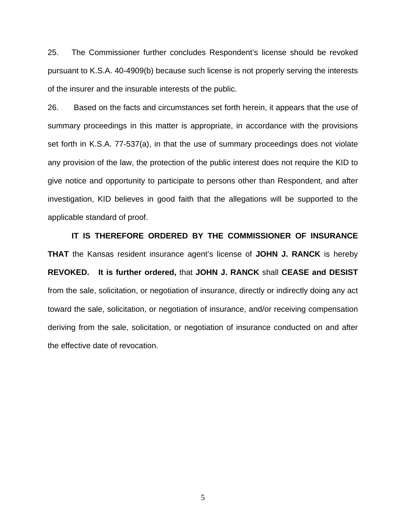25. The Commissioner further concludes Respondent's license should be revoked pursuant to K.S.A. 40-4909(b) because such license is not properly serving the interests of the insurer and the insurable interests of the public.

26. Based on the facts and circumstances set forth herein, it appears that the use of summary proceedings in this matter is appropriate, in accordance with the provisions set forth in K.S.A. 77-537(a), in that the use of summary proceedings does not violate any provision of the law, the protection of the public interest does not require the KID to give notice and opportunity to participate to persons other than Respondent, and after investigation, KID believes in good faith that the allegations will be supported to the applicable standard of proof.

 **IT IS THEREFORE ORDERED BY THE COMMISSIONER OF INSURANCE THAT** the Kansas resident insurance agent's license of **JOHN J. RANCK** is hereby **REVOKED. It is further ordered,** that **JOHN J. RANCK** shall **CEASE and DESIST** from the sale, solicitation, or negotiation of insurance, directly or indirectly doing any act toward the sale, solicitation, or negotiation of insurance, and/or receiving compensation deriving from the sale, solicitation, or negotiation of insurance conducted on and after the effective date of revocation.

5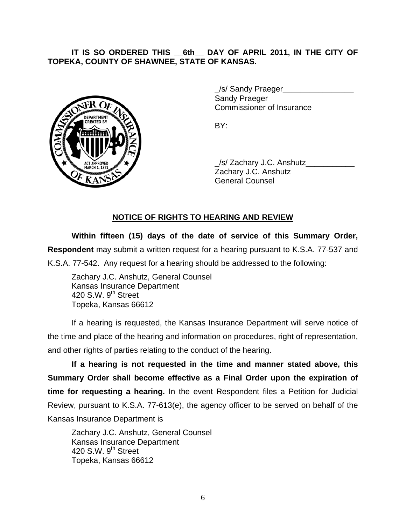### IT IS SO ORDERED THIS 6th DAY OF APRIL 2011, IN THE CITY OF **TOPEKA, COUNTY OF SHAWNEE, STATE OF KANSAS.**



/s/ Sandy Praeger Sandy Praeger Commissioner of Insurance

 \_/s/ Zachary J.C. Anshutz\_\_\_\_\_\_\_\_\_\_\_ Zachary J.C. Anshutz General Counsel

## **NOTICE OF RIGHTS TO HEARING AND REVIEW**

**Within fifteen (15) days of the date of service of this Summary Order, Respondent** may submit a written request for a hearing pursuant to K.S.A. 77-537 and K.S.A. 77-542. Any request for a hearing should be addressed to the following:

 Zachary J.C. Anshutz, General Counsel Kansas Insurance Department 420 S.W. 9<sup>th</sup> Street Topeka, Kansas 66612

If a hearing is requested, the Kansas Insurance Department will serve notice of the time and place of the hearing and information on procedures, right of representation, and other rights of parties relating to the conduct of the hearing.

**If a hearing is not requested in the time and manner stated above, this Summary Order shall become effective as a Final Order upon the expiration of time for requesting a hearing.** In the event Respondent files a Petition for Judicial Review, pursuant to K.S.A. 77-613(e), the agency officer to be served on behalf of the Kansas Insurance Department is

 Zachary J.C. Anshutz, General Counsel Kansas Insurance Department 420 S.W.  $9<sup>th</sup>$  Street Topeka, Kansas 66612